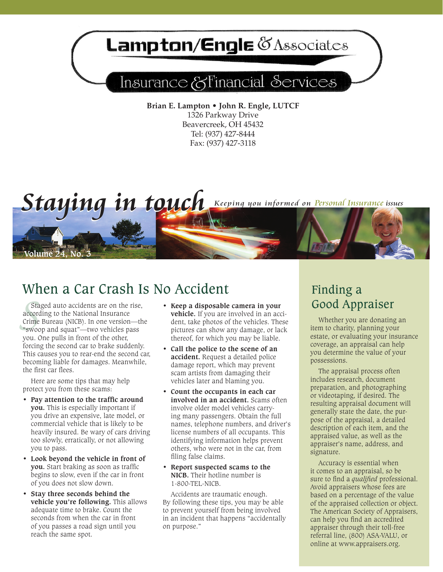# **ampton/Engle @Associates**

## Insurance & Financial Services

**Brian E. Lampton • John R. Engle, LUTCF** 1326 Parkway Drive Beavercreek, OH 45432 Tel: (937) 427-8444 Fax: (937) 427-3118



### When a Car Crash Is No Accident

Sta<br>accord<br>Crime<br>"Swoo Staged auto accidents are on the rise, according to the National Insurance Crime Bureau (NICB). In one version—the "swoop and squat"—two vehicles pass you. One pulls in front of the other, forcing the second car to brake suddenly. This causes you to rear-end the second car, becoming liable for damages. Meanwhile, the first car flees.

Here are some tips that may help protect you from these scams:

- **• Pay attention to the traffic around you.** This is especially important if you drive an expensive, late model, or commercial vehicle that is likely to be heavily insured. Be wary of cars driving too slowly, erratically, or not allowing you to pass.
- **• Look beyond the vehicle in front of you.** Start braking as soon as traffic begins to slow, even if the car in front of you does not slow down.
- **• Stay three seconds behind the vehicle you're following.** This allows adequate time to brake. Count the seconds from when the car in front of you passes a road sign until you reach the same spot.
- **• Keep a disposable camera in your vehicle.** If you are involved in an accident, take photos of the vehicles. These pictures can show any damage, or lack thereof, for which you may be liable.
- **• Call the police to the scene of an accident.** Request a detailed police damage report, which may prevent scam artists from damaging their vehicles later and blaming you.
- **• Count the occupants in each car involved in an accident.** Scams often involve older model vehicles carrying many passengers. Obtain the full names, telephone numbers, and driver's license numbers of all occupants. This identifying information helps prevent others, who were not in the car, from filing false claims.
- **• Report suspected scams to the NICB.** Their hotline number is 1-800-TEL-NICB.

Accidents are traumatic enough. By following these tips, you may be able to prevent yourself from being involved in an incident that happens "accidentally on purpose."

### Finding a Good Appraiser

Whether you are donating an item to charity, planning your estate, or evaluating your insurance coverage, an appraisal can help you determine the value of your possessions.

The appraisal process often includes research, document preparation, and photographing or videotaping, if desired. The resulting appraisal document will generally state the date, the purpose of the appraisal, a detailed description of each item, and the appraised value, as well as the appraiser's name, address, and signature.

Accuracy is essential when it comes to an appraisal, so be sure to find a *qualified* professional. Avoid appraisers whose fees are based on a percentage of the value of the appraised collection or object. The American Society of Appraisers, can help you find an accredited appraiser through their toll-free referral line, (800) ASA-VALU, or online at www.appraisers.org.